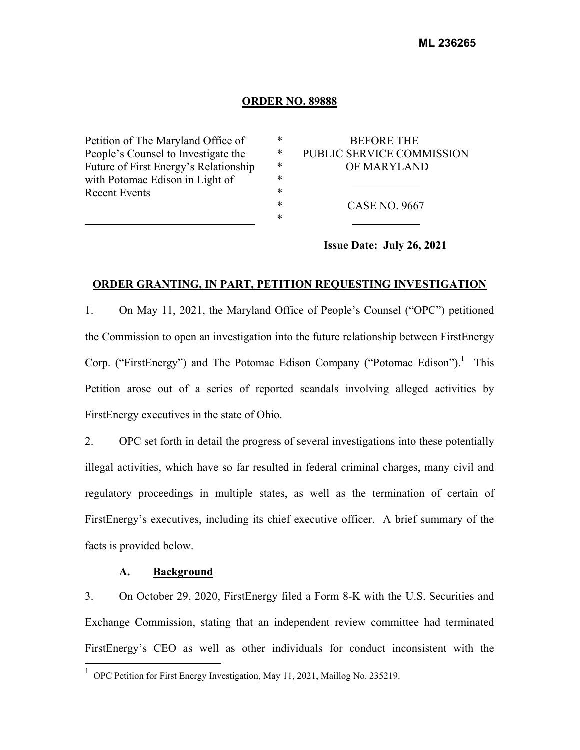#### **ORDER NO. 89888**

Petition of The Maryland Office of People's Counsel to Investigate the Future of First Energy's Relationship with Potomac Edison in Light of Recent Events

| ж | <b>BEFORE THE</b>         |
|---|---------------------------|
| * | PUBLIC SERVICE COMMISSION |
| * | OF MARYLAND               |
| ж |                           |
| ж |                           |
| ж | CASE NO. 9667             |
| ж |                           |
|   |                           |

**Issue Date: July 26, 2021** 

### **ORDER GRANTING, IN PART, PETITION REQUESTING INVESTIGATION**

1. On May 11, 2021, the Maryland Office of People's Counsel ("OPC") petitioned the Commission to open an investigation into the future relationship between FirstEnergy Corp. ("FirstEnergy") and The Potomac Edison Company ("Potomac Edison").<sup>1</sup> This Petition arose out of a series of reported scandals involving alleged activities by FirstEnergy executives in the state of Ohio.

2. OPC set forth in detail the progress of several investigations into these potentially illegal activities, which have so far resulted in federal criminal charges, many civil and regulatory proceedings in multiple states, as well as the termination of certain of FirstEnergy's executives, including its chief executive officer. A brief summary of the facts is provided below.

## **A. Background**

3. On October 29, 2020, FirstEnergy filed a Form 8-K with the U.S. Securities and Exchange Commission, stating that an independent review committee had terminated FirstEnergy's CEO as well as other individuals for conduct inconsistent with the

<sup>&</sup>lt;sup>1</sup> OPC Petition for First Energy Investigation, May 11, 2021, Maillog No. 235219.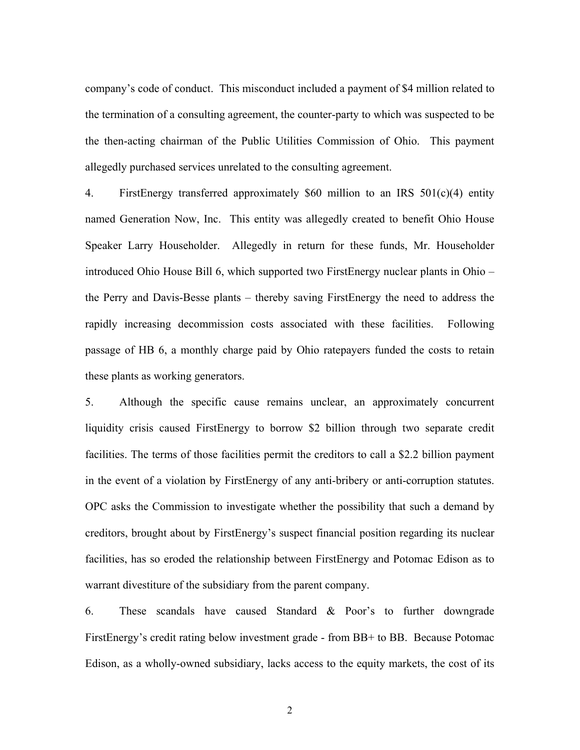company's code of conduct. This misconduct included a payment of \$4 million related to the termination of a consulting agreement, the counter-party to which was suspected to be the then-acting chairman of the Public Utilities Commission of Ohio. This payment allegedly purchased services unrelated to the consulting agreement.

4. FirstEnergy transferred approximately \$60 million to an IRS 501(c)(4) entity named Generation Now, Inc. This entity was allegedly created to benefit Ohio House Speaker Larry Householder. Allegedly in return for these funds, Mr. Householder introduced Ohio House Bill 6, which supported two FirstEnergy nuclear plants in Ohio – the Perry and Davis-Besse plants – thereby saving FirstEnergy the need to address the rapidly increasing decommission costs associated with these facilities. Following passage of HB 6, a monthly charge paid by Ohio ratepayers funded the costs to retain these plants as working generators.

5. Although the specific cause remains unclear, an approximately concurrent liquidity crisis caused FirstEnergy to borrow \$2 billion through two separate credit facilities. The terms of those facilities permit the creditors to call a \$2.2 billion payment in the event of a violation by FirstEnergy of any anti-bribery or anti-corruption statutes. OPC asks the Commission to investigate whether the possibility that such a demand by creditors, brought about by FirstEnergy's suspect financial position regarding its nuclear facilities, has so eroded the relationship between FirstEnergy and Potomac Edison as to warrant divestiture of the subsidiary from the parent company.

6. These scandals have caused Standard & Poor's to further downgrade FirstEnergy's credit rating below investment grade - from BB+ to BB. Because Potomac Edison, as a wholly-owned subsidiary, lacks access to the equity markets, the cost of its

2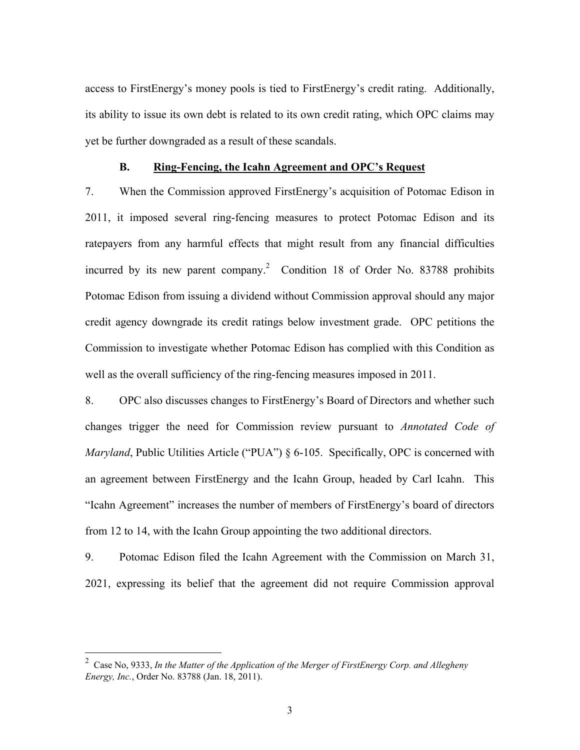access to FirstEnergy's money pools is tied to FirstEnergy's credit rating. Additionally, its ability to issue its own debt is related to its own credit rating, which OPC claims may yet be further downgraded as a result of these scandals.

# **B. Ring-Fencing, the Icahn Agreement and OPC's Request**

7. When the Commission approved FirstEnergy's acquisition of Potomac Edison in 2011, it imposed several ring-fencing measures to protect Potomac Edison and its ratepayers from any harmful effects that might result from any financial difficulties incurred by its new parent company.<sup>2</sup> Condition 18 of Order No. 83788 prohibits Potomac Edison from issuing a dividend without Commission approval should any major credit agency downgrade its credit ratings below investment grade. OPC petitions the Commission to investigate whether Potomac Edison has complied with this Condition as well as the overall sufficiency of the ring-fencing measures imposed in 2011.

8. OPC also discusses changes to FirstEnergy's Board of Directors and whether such changes trigger the need for Commission review pursuant to *Annotated Code of Maryland*, Public Utilities Article ("PUA") § 6-105. Specifically, OPC is concerned with an agreement between FirstEnergy and the Icahn Group, headed by Carl Icahn. This "Icahn Agreement" increases the number of members of FirstEnergy's board of directors from 12 to 14, with the Icahn Group appointing the two additional directors.

9. Potomac Edison filed the Icahn Agreement with the Commission on March 31, 2021, expressing its belief that the agreement did not require Commission approval

 2 Case No, 9333, *In the Matter of the Application of the Merger of FirstEnergy Corp. and Allegheny Energy, Inc.*, Order No. 83788 (Jan. 18, 2011).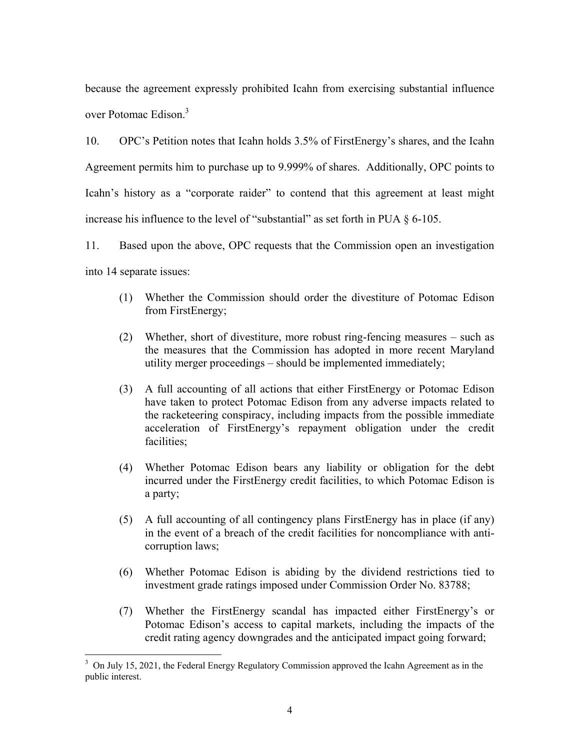because the agreement expressly prohibited Icahn from exercising substantial influence over Potomac Edison.<sup>3</sup>

10. OPC's Petition notes that Icahn holds 3.5% of FirstEnergy's shares, and the Icahn Agreement permits him to purchase up to 9.999% of shares. Additionally, OPC points to Icahn's history as a "corporate raider" to contend that this agreement at least might increase his influence to the level of "substantial" as set forth in PUA § 6-105.

11. Based upon the above, OPC requests that the Commission open an investigation into 14 separate issues:

- (1) Whether the Commission should order the divestiture of Potomac Edison from FirstEnergy;
- (2) Whether, short of divestiture, more robust ring-fencing measures such as the measures that the Commission has adopted in more recent Maryland utility merger proceedings – should be implemented immediately;
- (3) A full accounting of all actions that either FirstEnergy or Potomac Edison have taken to protect Potomac Edison from any adverse impacts related to the racketeering conspiracy, including impacts from the possible immediate acceleration of FirstEnergy's repayment obligation under the credit facilities;
- (4) Whether Potomac Edison bears any liability or obligation for the debt incurred under the FirstEnergy credit facilities, to which Potomac Edison is a party;
- (5) A full accounting of all contingency plans FirstEnergy has in place (if any) in the event of a breach of the credit facilities for noncompliance with anticorruption laws;
- (6) Whether Potomac Edison is abiding by the dividend restrictions tied to investment grade ratings imposed under Commission Order No. 83788;
- (7) Whether the FirstEnergy scandal has impacted either FirstEnergy's or Potomac Edison's access to capital markets, including the impacts of the credit rating agency downgrades and the anticipated impact going forward;

1

 $3$  On July 15, 2021, the Federal Energy Regulatory Commission approved the Icahn Agreement as in the public interest.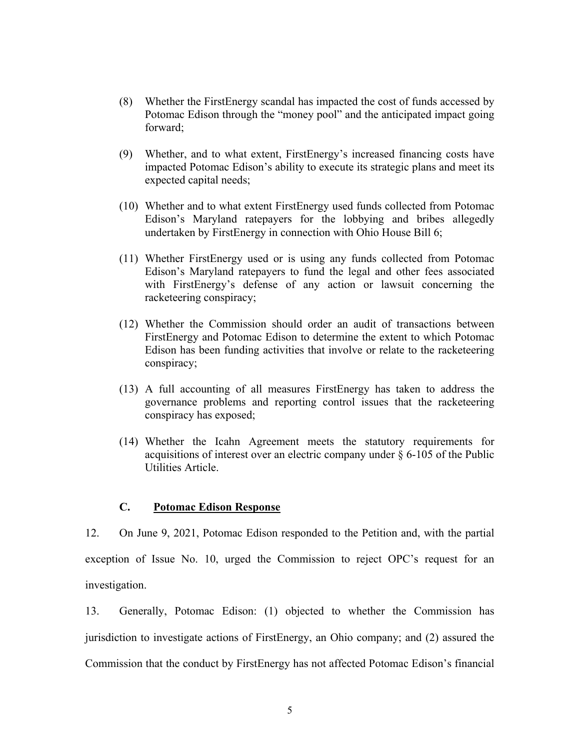- (8) Whether the FirstEnergy scandal has impacted the cost of funds accessed by Potomac Edison through the "money pool" and the anticipated impact going forward;
- (9) Whether, and to what extent, FirstEnergy's increased financing costs have impacted Potomac Edison's ability to execute its strategic plans and meet its expected capital needs;
- (10) Whether and to what extent FirstEnergy used funds collected from Potomac Edison's Maryland ratepayers for the lobbying and bribes allegedly undertaken by FirstEnergy in connection with Ohio House Bill 6;
- (11) Whether FirstEnergy used or is using any funds collected from Potomac Edison's Maryland ratepayers to fund the legal and other fees associated with FirstEnergy's defense of any action or lawsuit concerning the racketeering conspiracy;
- (12) Whether the Commission should order an audit of transactions between FirstEnergy and Potomac Edison to determine the extent to which Potomac Edison has been funding activities that involve or relate to the racketeering conspiracy;
- (13) A full accounting of all measures FirstEnergy has taken to address the governance problems and reporting control issues that the racketeering conspiracy has exposed;
- (14) Whether the Icahn Agreement meets the statutory requirements for acquisitions of interest over an electric company under  $\S$  6-105 of the Public Utilities Article.

# **C. Potomac Edison Response**

12. On June 9, 2021, Potomac Edison responded to the Petition and, with the partial exception of Issue No. 10, urged the Commission to reject OPC's request for an investigation.

13. Generally, Potomac Edison: (1) objected to whether the Commission has jurisdiction to investigate actions of FirstEnergy, an Ohio company; and (2) assured the Commission that the conduct by FirstEnergy has not affected Potomac Edison's financial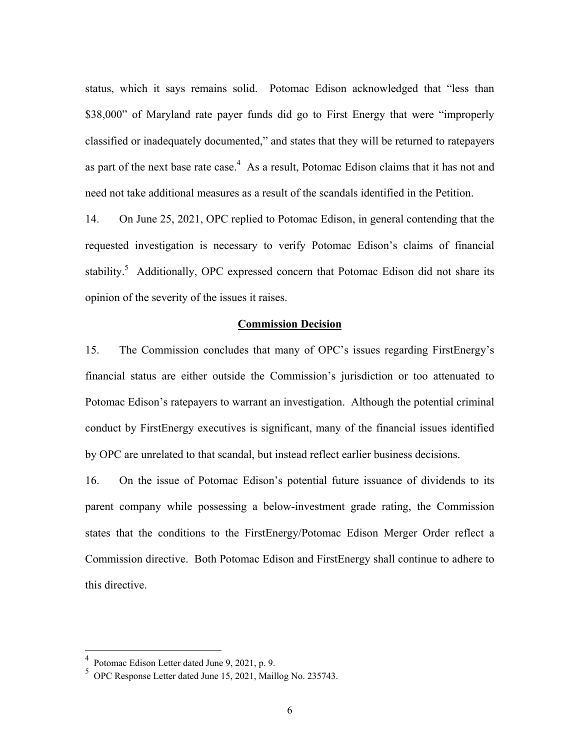status, which it says remains solid. Potomac Edison acknowledged that "less than \$38,000" of Maryland rate payer funds did go to First Energy that were "improperly classified or inadequately documented," and states that they will be returned to ratepayers as part of the next base rate case.<sup>4</sup> As a result, Potomac Edison claims that it has not and need not take additional measures as a result of the scandals identified in the Petition.

14. On June 25, 2021, OPC replied to Potomac Edison, in general contending that the requested investigation is necessary to verify Potomac Edison's claims of financial stability.<sup>5</sup> Additionally, OPC expressed concern that Potomac Edison did not share its opinion of the severity of the issues it raises.

#### **Commission Decision**

15. The Commission concludes that many of OPC's issues regarding FirstEnergy's financial status are either outside the Commission's jurisdiction or too attenuated to Potomac Edison's ratepayers to warrant an investigation. Although the potential criminal conduct by FirstEnergy executives is significant, many of the financial issues identified by OPC are unrelated to that scandal, but instead reflect earlier business decisions.

16. On the issue of Potomac Edison's potential future issuance of dividends to its parent company while possessing a below-investment grade rating, the Commission states that the conditions to the FirstEnergy/Potomac Edison Merger Order reflect a Commission directive. Both Potomac Edison and FirstEnergy shall continue to adhere to this directive.

 $\overline{a}$ 

<sup>4</sup> Potomac Edison Letter dated June 9, 2021, p. 9.

<sup>5</sup> OPC Response Letter dated June 15, 2021, Maillog No. 235743.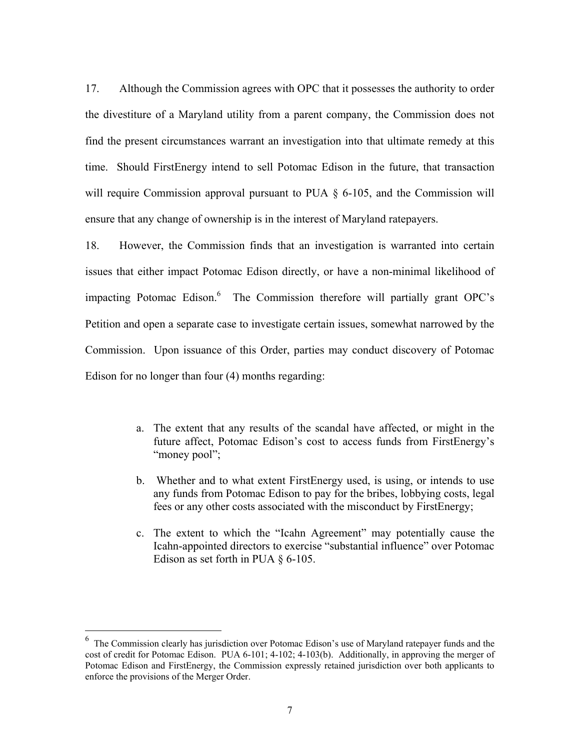17. Although the Commission agrees with OPC that it possesses the authority to order the divestiture of a Maryland utility from a parent company, the Commission does not find the present circumstances warrant an investigation into that ultimate remedy at this time. Should FirstEnergy intend to sell Potomac Edison in the future, that transaction will require Commission approval pursuant to PUA  $\S$  6-105, and the Commission will ensure that any change of ownership is in the interest of Maryland ratepayers.

18. However, the Commission finds that an investigation is warranted into certain issues that either impact Potomac Edison directly, or have a non-minimal likelihood of impacting Potomac Edison.<sup>6</sup> The Commission therefore will partially grant OPC's Petition and open a separate case to investigate certain issues, somewhat narrowed by the Commission. Upon issuance of this Order, parties may conduct discovery of Potomac Edison for no longer than four (4) months regarding:

- a. The extent that any results of the scandal have affected, or might in the future affect, Potomac Edison's cost to access funds from FirstEnergy's "money pool";
- b. Whether and to what extent FirstEnergy used, is using, or intends to use any funds from Potomac Edison to pay for the bribes, lobbying costs, legal fees or any other costs associated with the misconduct by FirstEnergy;
- c. The extent to which the "Icahn Agreement" may potentially cause the Icahn-appointed directors to exercise "substantial influence" over Potomac Edison as set forth in PUA  $\S$  6-105.

<sup>&</sup>lt;sup>6</sup> The Commission clearly has jurisdiction over Potomac Edison's use of Maryland ratepayer funds and the cost of credit for Potomac Edison. PUA 6-101; 4-102; 4-103(b). Additionally, in approving the merger of Potomac Edison and FirstEnergy, the Commission expressly retained jurisdiction over both applicants to enforce the provisions of the Merger Order.